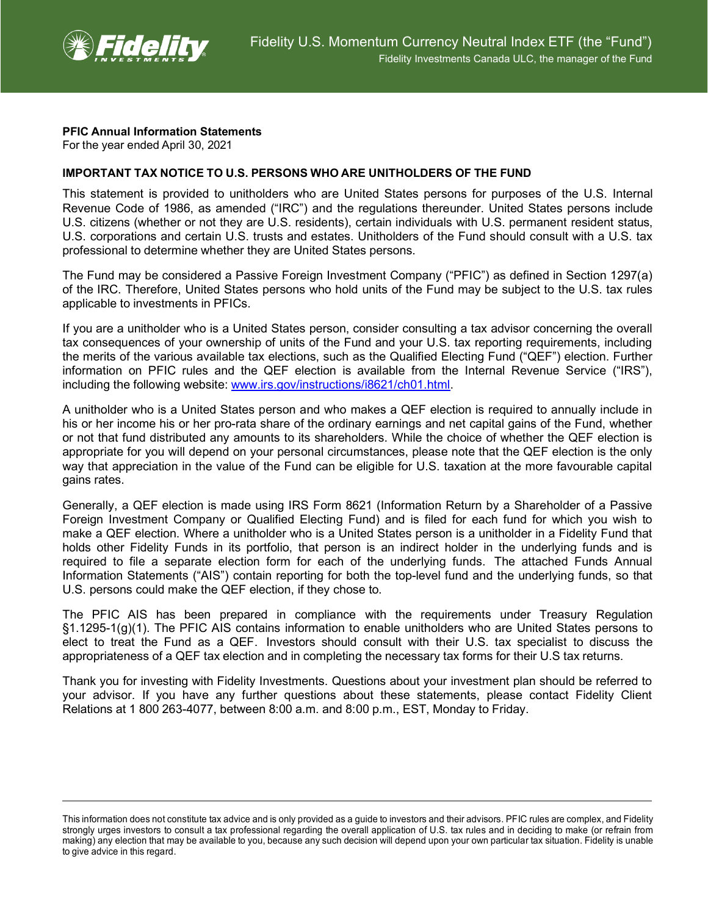

## **PFIC Annual Information Statements**

For the year ended April 30, 2021

## **IMPORTANT TAX NOTICE TO U.S. PERSONS WHO ARE UNITHOLDERS OF THE FUND**

This statement is provided to unitholders who are United States persons for purposes of the U.S. Internal Revenue Code of 1986, as amended ("IRC") and the regulations thereunder. United States persons include U.S. citizens (whether or not they are U.S. residents), certain individuals with U.S. permanent resident status, U.S. corporations and certain U.S. trusts and estates. Unitholders of the Fund should consult with a U.S. tax professional to determine whether they are United States persons.

The Fund may be considered a Passive Foreign Investment Company ("PFIC") as defined in Section 1297(a) of the IRC. Therefore, United States persons who hold units of the Fund may be subject to the U.S. tax rules applicable to investments in PFICs.

If you are a unitholder who is a United States person, consider consulting a tax advisor concerning the overall tax consequences of your ownership of units of the Fund and your U.S. tax reporting requirements, including the merits of the various available tax elections, such as the Qualified Electing Fund ("QEF") election. Further information on PFIC rules and the QEF election is available from the Internal Revenue Service ("IRS"), including the following website: [www.irs.gov/instructions/i8621/ch01.html.](http://www.irs.gov/instructions/i8621/ch01.html)

A unitholder who is a United States person and who makes a QEF election is required to annually include in his or her income his or her pro-rata share of the ordinary earnings and net capital gains of the Fund, whether or not that fund distributed any amounts to its shareholders. While the choice of whether the QEF election is appropriate for you will depend on your personal circumstances, please note that the QEF election is the only way that appreciation in the value of the Fund can be eligible for U.S. taxation at the more favourable capital gains rates.

Generally, a QEF election is made using IRS Form 8621 (Information Return by a Shareholder of a Passive Foreign Investment Company or Qualified Electing Fund) and is filed for each fund for which you wish to make a QEF election. Where a unitholder who is a United States person is a unitholder in a Fidelity Fund that holds other Fidelity Funds in its portfolio, that person is an indirect holder in the underlying funds and is required to file a separate election form for each of the underlying funds. The attached Funds Annual Information Statements ("AIS") contain reporting for both the top-level fund and the underlying funds, so that U.S. persons could make the QEF election, if they chose to.

The PFIC AIS has been prepared in compliance with the requirements under Treasury Regulation §1.1295-1(g)(1). The PFIC AIS contains information to enable unitholders who are United States persons to elect to treat the Fund as a QEF. Investors should consult with their U.S. tax specialist to discuss the appropriateness of a QEF tax election and in completing the necessary tax forms for their U.S tax returns.

Thank you for investing with Fidelity Investments. Questions about your investment plan should be referred to your advisor. If you have any further questions about these statements, please contact Fidelity Client Relations at 1 800 263-4077, between 8:00 a.m. and 8:00 p.m., EST, Monday to Friday.

This information does not constitute tax advice and is only provided as a guide to investors and their advisors. PFIC rules are complex, and Fidelity strongly urges investors to consult a tax professional regarding the overall application of U.S. tax rules and in deciding to make (or refrain from making) any election that may be available to you, because any such decision will depend upon your own particular tax situation. Fidelity is unable to give advice in this regard.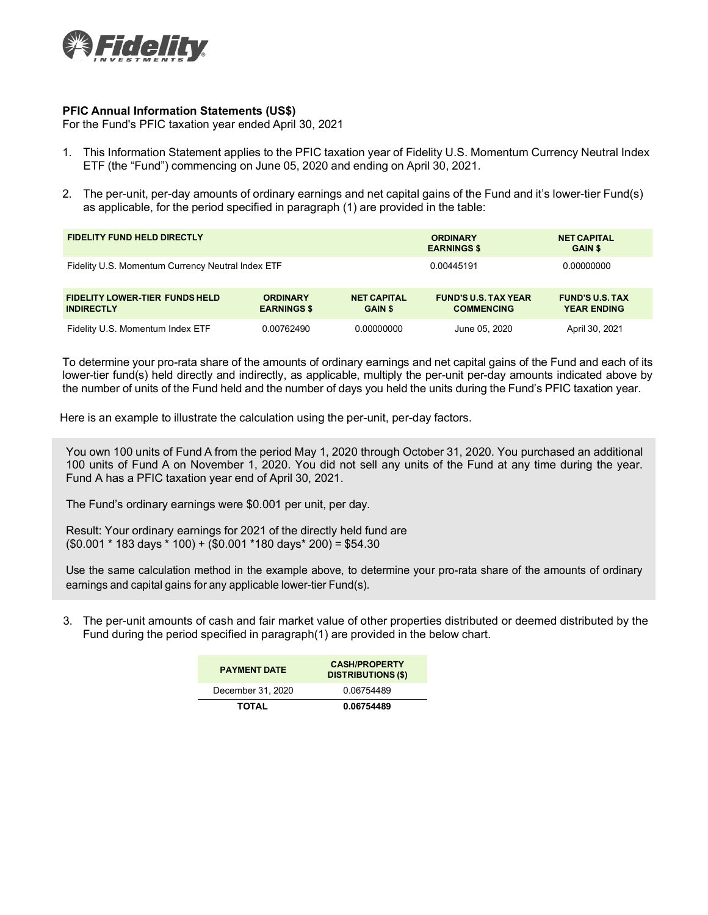

## **PFIC Annual Information Statements (US\$)**

For the Fund's PFIC taxation year ended April 30, 2021

- 1. This Information Statement applies to the PFIC taxation year of Fidelity U.S. Momentum Currency Neutral Index ETF (the "Fund") commencing on June 05, 2020 and ending on April 30, 2021.
- 2. The per-unit, per-day amounts of ordinary earnings and net capital gains of the Fund and it's lower-tier Fund(s) as applicable, for the period specified in paragraph (1) are provided in the table:

| <b>FIDELITY FUND HELD DIRECTLY</b>                         |                                       |                                      | <b>ORDINARY</b><br><b>EARNINGS \$</b>            | <b>NET CAPITAL</b><br><b>GAIN \$</b>         |
|------------------------------------------------------------|---------------------------------------|--------------------------------------|--------------------------------------------------|----------------------------------------------|
| Fidelity U.S. Momentum Currency Neutral Index ETF          |                                       |                                      | 0.00445191                                       | 0.00000000                                   |
| <b>FIDELITY LOWER-TIER FUNDS HELD</b><br><b>INDIRECTLY</b> | <b>ORDINARY</b><br><b>EARNINGS \$</b> | <b>NET CAPITAL</b><br><b>GAIN \$</b> | <b>FUND'S U.S. TAX YEAR</b><br><b>COMMENCING</b> | <b>FUND'S U.S. TAX</b><br><b>YEAR ENDING</b> |
| Fidelity U.S. Momentum Index ETF                           | 0.00762490                            | 0.00000000                           | June 05, 2020                                    | April 30, 2021                               |

To determine your pro-rata share of the amounts of ordinary earnings and net capital gains of the Fund and each of its lower-tier fund(s) held directly and indirectly, as applicable, multiply the per-unit per-day amounts indicated above by the number of units of the Fund held and the number of days you held the units during the Fund's PFIC taxation year.

Here is an example to illustrate the calculation using the per-unit, per-day factors.

You own 100 units of Fund A from the period May 1, 2020 through October 31, 2020. You purchased an additional 100 units of Fund A on November 1, 2020. You did not sell any units of the Fund at any time during the year. Fund A has a PFIC taxation year end of April 30, 2021.

The Fund's ordinary earnings were \$0.001 per unit, per day.

Result: Your ordinary earnings for 2021 of the directly held fund are (\$0.001 \* 183 days \* 100) + (\$0.001 \*180 days\* 200) = \$54.30

Use the same calculation method in the example above, to determine your pro-rata share of the amounts of ordinary earnings and capital gains for any applicable lower-tier Fund(s).

3. The per-unit amounts of cash and fair market value of other properties distributed or deemed distributed by the Fund during the period specified in paragraph(1) are provided in the below chart.

| <b>PAYMENT DATE</b> | <b>CASH/PROPERTY</b><br><b>DISTRIBUTIONS (\$)</b> |
|---------------------|---------------------------------------------------|
| December 31, 2020   | 0.06754489                                        |
| TOTAL               | 0.06754489                                        |